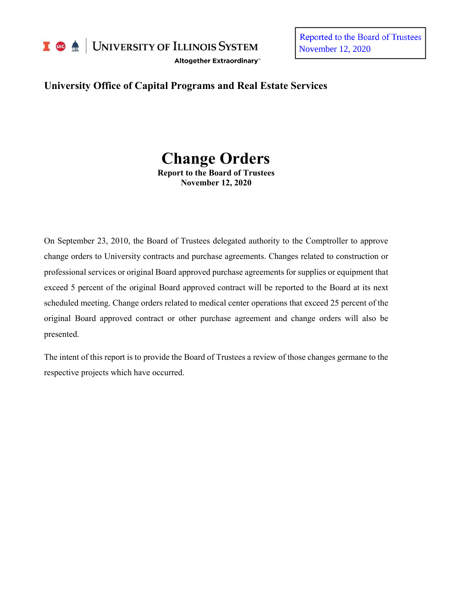

UNIVERSITY OF ILLINOIS SYSTEM

Altogether Extraordinary"

Reported to the Board of Trustees November 12, 2020

# **University Office of Capital Programs and Real Estate Services**

# **Change Orders**

**Report to the Board of Trustees November 12, 2020**

On September 23, 2010, the Board of Trustees delegated authority to the Comptroller to approve change orders to University contracts and purchase agreements. Changes related to construction or professional services or original Board approved purchase agreements for supplies or equipment that exceed 5 percent of the original Board approved contract will be reported to the Board at its next scheduled meeting. Change orders related to medical center operations that exceed 25 percent of the original Board approved contract or other purchase agreement and change orders will also be presented.

The intent of this report is to provide the Board of Trustees a review of those changes germane to the respective projects which have occurred.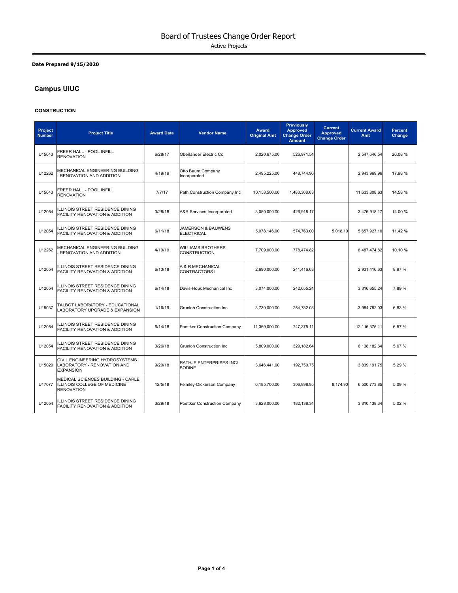## **Date Prepared 9/15/2020**

# **Campus UIUC**

#### **CONSTRUCTION**

| Project<br><b>Number</b> | <b>Project Title</b>                                                                   | <b>Award Date</b> | <b>Vendor Name</b>                              | <b>Award</b><br><b>Original Amt</b> | <b>Previously</b><br><b>Approved</b><br><b>Change Order</b><br><b>Amount</b> | <b>Current</b><br><b>Approved</b><br><b>Change Order</b> | <b>Current Award</b><br>Amt | <b>Percent</b><br>Change |
|--------------------------|----------------------------------------------------------------------------------------|-------------------|-------------------------------------------------|-------------------------------------|------------------------------------------------------------------------------|----------------------------------------------------------|-----------------------------|--------------------------|
| U15043                   | FREER HALL - POOL INFILL<br><b>RENOVATION</b>                                          | 6/28/17           | Oberlander Electric Co                          | 2,020,675.00                        | 526,971.54                                                                   |                                                          | 2,547,646.54                | 26.08 %                  |
| U12262                   | MECHANICAL ENGINEERING BUILDING<br><b>RENOVATION AND ADDITION</b>                      | 4/19/19           | Otto Baum Company<br>Incorporated               | 2,495,225.00                        | 448,744.96                                                                   |                                                          | 2,943,969.96                | 17.98 %                  |
| U15043                   | FREER HALL - POOL INFILL<br><b>RENOVATION</b>                                          | 7/7/17            | Path Construction Company Inc                   | 10.153.500.00                       | 1,480,308.63                                                                 |                                                          | 11,633,808.63               | 14.58 %                  |
| U12054                   | <b>ILLINOIS STREET RESIDENCE DINING</b><br><b>FACILITY RENOVATION &amp; ADDITION</b>   | 3/28/18           | A&R Services Incorporated                       | 3,050,000.00                        | 426,918.17                                                                   |                                                          | 3,476,918.17                | 14.00 %                  |
| U12054                   | ILLINOIS STREET RESIDENCE DINING<br><b>FACILITY RENOVATION &amp; ADDITION</b>          | 6/11/18           | JAMERSON & BAUWENS<br><b>ELECTRICAL</b>         | 5,078,146.00                        | 574,763.00                                                                   | 5,018.10                                                 | 5,657,927.10                | 11.42 %                  |
| U12262                   | MECHANICAL ENGINEERING BUILDING<br>RENOVATION AND ADDITION                             | 4/19/19           | <b>WILLIAMS BROTHERS</b><br><b>CONSTRUCTION</b> | 7,709,000.00                        | 778,474.82                                                                   |                                                          | 8,487,474.82                | 10.10 %                  |
| U12054                   | ILLINOIS STREET RESIDENCE DINING<br>FACILITY RENOVATION & ADDITION                     | 6/13/18           | A & R MECHANICAL<br><b>CONTRACTORS I</b>        | 2.690.000.00                        | 241,416.63                                                                   |                                                          | 2,931,416.63                | 8.97%                    |
| U12054                   | ILLINOIS STREET RESIDENCE DINING<br><b>FACILITY RENOVATION &amp; ADDITION</b>          | 6/14/18           | Davis-Houk Mechanical Inc                       | 3,074,000.00                        | 242,655.24                                                                   |                                                          | 3,316,655.24                | 7.89%                    |
| U15037                   | TALBOT LABORATORY - EDUCATIONAL<br>LABORATORY UPGRADE & EXPANSION                      | 1/16/19           | <b>Grunloh Construction Inc.</b>                | 3,730,000.00                        | 254,782.03                                                                   |                                                          | 3,984,782.03                | 6.83%                    |
| U12054                   | ILLINOIS STREET RESIDENCE DINING<br>FACILITY RENOVATION & ADDITION                     | 6/14/18           | Poettker Construction Company                   | 11,369,000.00                       | 747,375.11                                                                   |                                                          | 12,116,375.11               | 6.57%                    |
| U12054                   | ILLINOIS STREET RESIDENCE DINING<br><b>FACILITY RENOVATION &amp; ADDITION</b>          | 3/26/18           | <b>Grunloh Construction Inc.</b>                | 5,809,000.00                        | 329,182.64                                                                   |                                                          | 6,138,182.64                | 5.67%                    |
| U15029                   | CIVIL ENGINEERING HYDROSYSTEMS<br>LABORATORY - RENOVATION AND<br><b>EXPANSION</b>      | 9/20/18           | RATHJE ENTERPRISES INC/<br><b>BODINE</b>        | 3,646,441.00                        | 192,750.75                                                                   |                                                          | 3,839,191.75                | 5.29%                    |
| U17077                   | MEDICAL SCIENCES BUILDING - CARLE<br>ILLINOIS COLLEGE OF MEDICINE<br><b>RENOVATION</b> | 12/5/18           | Felmley-Dickerson Company                       | 6,185,700.00                        | 306,898.95                                                                   | 8,174.90                                                 | 6,500,773.85                | 5.09%                    |
| U12054                   | ILLINOIS STREET RESIDENCE DINING<br>FACILITY RENOVATION & ADDITION                     | 3/29/18           | Poettker Construction Company                   | 3,628,000.00                        | 182.138.34                                                                   |                                                          | 3,810,138.34                | 5.02%                    |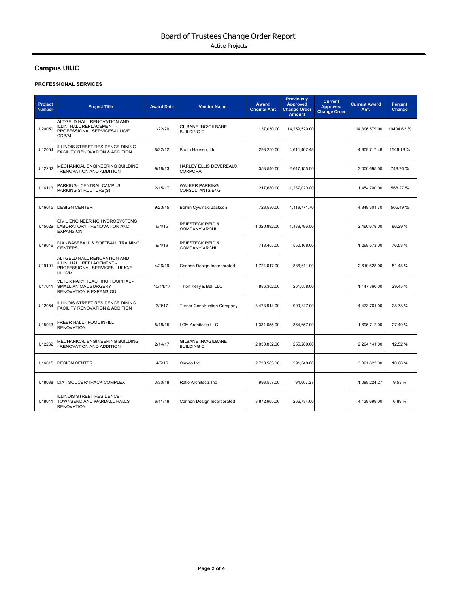# **Campus UIUC**

#### **PROFESSIONAL SERVICES**

| Project<br><b>Number</b> | <b>Project Title</b>                                                                                 | <b>Award Date</b> | <b>Vendor Name</b>                                  | <b>Award</b><br><b>Original Amt</b> | <b>Previously</b><br><b>Approved</b><br><b>Change Order</b><br><b>Amount</b> | <b>Current</b><br><b>Approved</b><br><b>Change Order</b> | <b>Current Award</b><br>Amt | <b>Percent</b><br>Change |
|--------------------------|------------------------------------------------------------------------------------------------------|-------------------|-----------------------------------------------------|-------------------------------------|------------------------------------------------------------------------------|----------------------------------------------------------|-----------------------------|--------------------------|
| U20050                   | ALTGELD HALL RENOVATION AND<br>ILLINI HALL REPLACEMENT -<br>PROFESSIONAL SERVICES-UIUC/F<br>CDB/M    | 1/22/20           | GILBANE INC/GILBANE<br><b>BUILDING C</b>            | 137.050.00                          | 14,259,529.00                                                                |                                                          | 14.396.579.00               | 10404.62%                |
| U12054                   | ILLINOIS STREET RESIDENCE DINING<br>FACILITY RENOVATION & ADDITION                                   | 8/22/12           | Booth Hansen, Ltd.                                  | 298,250.00                          | 4,611,467.48                                                                 |                                                          | 4,909,717.48                | 1546.18%                 |
| U12262                   | MECHANICAL ENGINEERING BUILDING<br>RENOVATION AND ADDITION                                           | 9/18/13           | HARLEY ELLIS DEVEREAUX<br><b>CORPORA</b>            | 353,540.00                          | 2,647,155.00                                                                 |                                                          | 3,000,695.00                | 748.76%                  |
| U16113                   | PARKING - CENTRAL CAMPUS<br>PARKING STRUCTURE(S)                                                     | 2/15/17           | <b>WALKER PARKING</b><br><b>CONSULTANTS/ENG</b>     | 217,680.00                          | 1,237,020.00                                                                 |                                                          | 1,454,700.00                | 568.27 %                 |
| U16015                   | <b>DESIGN CENTER</b>                                                                                 | 9/23/15           | Bohlin Cywinski Jackson                             | 728,530.00                          | 4,119,771.70                                                                 |                                                          | 4,848,301.70                | 565.49 %                 |
| U15029                   | CIVIL ENGINEERING HYDROSYSTEMS<br>LABORATORY - RENOVATION AND<br><b>EXPANSION</b>                    | 6/4/15            | <b>REIFSTECK REID &amp;</b><br><b>COMPANY ARCHI</b> | 1,320,892.00                        | 1,139,786.00                                                                 |                                                          | 2.460.678.00                | 86.29 %                  |
| U19046                   | DIA - BASEBALL & SOFTBALL TRAINING<br><b>CENTERS</b>                                                 | 9/4/19            | <b>REIFSTECK REID &amp;</b><br><b>COMPANY ARCHI</b> | 718,405.00                          | 550,168.00                                                                   |                                                          | 1,268,573.00                | 76.58 %                  |
| U19101                   | ALTGELD HALL RENOVATION AND<br>ILLINI HALL REPLACEMENT -<br>PROFESSIONAL SERVICES - UIUC/F<br>UIUC/M | 4/26/19           | Cannon Design Incorporated                          | 1,724,017.00                        | 886,611.00                                                                   |                                                          | 2,610,628.00                | 51.43 %                  |
| U17041                   | VETERINARY TEACHING HOSPITAL -<br>SMALL ANIMAL SURGERY<br><b>RENOVATION &amp; EXPANSION</b>          | 10/11/17          | Tilton Kelly & Bell LLC                             | 886,302.00                          | 261,058.00                                                                   |                                                          | 1,147,360.00                | 29.45 %                  |
| U12054                   | ILLINOIS STREET RESIDENCE DINING<br>FACILITY RENOVATION & ADDITION                                   | 3/9/17            | <b>Turner Construction Company</b>                  | 3,473,914.00                        | 999,847.00                                                                   |                                                          | 4,473,761.00                | 28.78%                   |
| U15043                   | FREER HALL - POOL INFILL<br><b>RENOVATION</b>                                                        | 5/18/15           | <b>LCM Architects LLC</b>                           | 1,331,055.00                        | 364,657.00                                                                   |                                                          | 1,695,712.00                | 27.40 %                  |
| U12262                   | MECHANICAL ENGINEERING BUILDING<br>RENOVATION AND ADDITION                                           | 2/14/17           | GILBANE INC/GILBANE<br><b>BUILDING C</b>            | 2,038,852.00                        | 255,289.00                                                                   |                                                          | 2,294,141.00                | 12.52 %                  |
| U16015                   | <b>DESIGN CENTER</b>                                                                                 | 4/5/16            | Clayco Inc                                          | 2,730,583.00                        | 291,040.00                                                                   |                                                          | 3,021,623.00                | 10.66 %                  |
| U18038                   | DIA - SOCCER/TRACK COMPLEX                                                                           | 3/30/18           | Ratio Architects Inc                                | 993,557.00                          | 94,667.27                                                                    |                                                          | 1,088,224.27                | 9.53%                    |
| U18041                   | ILLINOIS STREET RESIDENCE -<br>TOWNSEND AND WARDALL HALLS<br><b>RENOVATION</b>                       | 6/11/18           | Cannon Design Incorporated                          | 3,872,965.00                        | 266.734.00                                                                   |                                                          | 4.139.699.00                | 6.89%                    |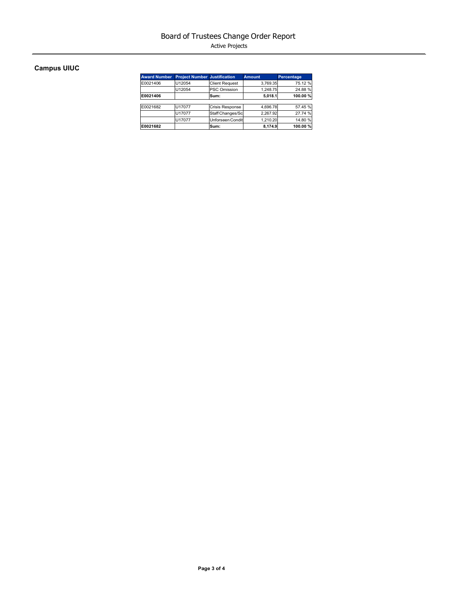Active Projects

# **Campus UIUC**

| <b>Award Number</b> | <b>Project Number Justification</b> |                        | <b>Amount</b> | Percentage |
|---------------------|-------------------------------------|------------------------|---------------|------------|
| E0021406            | U12054                              | <b>Client Request</b>  | 3.769.35      | 75.12 %    |
|                     | U12054                              | <b>PSC Omission</b>    | 1.248.75      | 24.88%     |
| E0021406            |                                     | Sum:                   | 5,018.1       | 100.00 %   |
|                     |                                     |                        |               |            |
| E0021682            | U17077                              | <b>Crisis Response</b> | 4.696.78      | 57.45 %    |
|                     | U17077                              | Staff Changes/Sc       | 2.267.92      | 27.74 %    |
|                     | U17077                              | Unforseen Condit       | 1.210.20      | 14.80 %    |
| E0021682            |                                     | Sum:                   | 8.174.9       | 100.00%    |